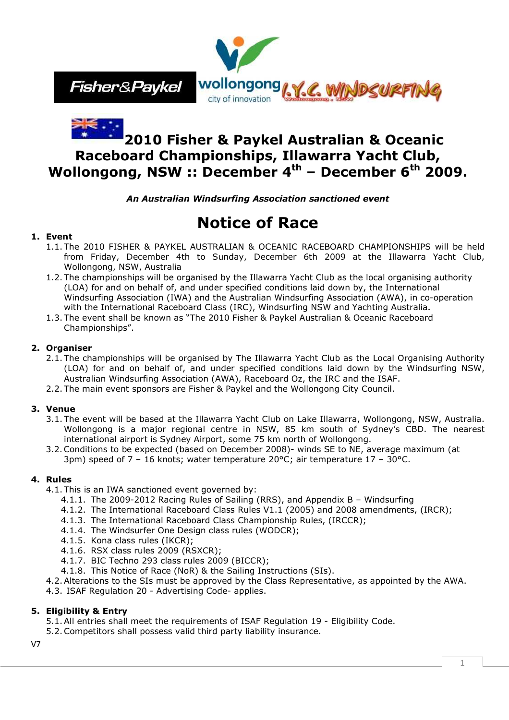



# **2010 Fisher & Paykel Australian & Oceanic Raceboard Championships, Illawarra Yacht Club, Wollongong, NSW :: December 4th – December 6th 2009.**

*An Australian Windsurfing Association sanctioned event*

# **Notice of Race**

# **1. Event**

- 1.1. The 2010 FISHER & PAYKEL AUSTRALIAN & OCEANIC RACEBOARD CHAMPIONSHIPS will be held from Friday, December 4th to Sunday, December 6th 2009 at the Illawarra Yacht Club, Wollongong, NSW, Australia
- 1.2. The championships will be organised by the Illawarra Yacht Club as the local organising authority (LOA) for and on behalf of, and under specified conditions laid down by, the International Windsurfing Association (IWA) and the Australian Windsurfing Association (AWA), in co-operation with the International Raceboard Class (IRC), Windsurfing NSW and Yachting Australia*.*
- 1.3. The event shall be known as "The 2010 Fisher & Paykel Australian & Oceanic Raceboard Championships".

# **2. Organiser**

- 2.1. The championships will be organised by The Illawarra Yacht Club as the Local Organising Authority (LOA) for and on behalf of, and under specified conditions laid down by the Windsurfing NSW, Australian Windsurfing Association (AWA), Raceboard Oz, the IRC and the ISAF.
- 2.2. The main event sponsors are Fisher & Paykel and the Wollongong City Council.

# **3. Venue**

- 3.1. The event will be based at the Illawarra Yacht Club on Lake Illawarra, Wollongong, NSW, Australia. Wollongong is a major regional centre in NSW, 85 km south of Sydney's CBD. The nearest international airport is Sydney Airport, some 75 km north of Wollongong.
- 3.2.Conditions to be expected (based on December 2008)- winds SE to NE, average maximum (at 3pm) speed of  $7 - 16$  knots; water temperature 20°C; air temperature 17 - 30°C.

# **4. Rules**

- 4.1. This is an IWA sanctioned event governed by:
	- 4.1.1. The 2009-2012 Racing Rules of Sailing (RRS), and Appendix B Windsurfing
	- 4.1.2. The International Raceboard Class Rules V1.1 (2005) and 2008 amendments, (IRCR);
	- 4.1.3. The International Raceboard Class Championship Rules, (IRCCR);
	- 4.1.4. The Windsurfer One Design class rules (WODCR);
	- 4.1.5. Kona class rules (IKCR);
	- 4.1.6. RSX class rules 2009 (RSXCR);
	- 4.1.7. BIC Techno 293 class rules 2009 (BICCR);
	- 4.1.8. This Notice of Race (NoR) & the Sailing Instructions (SIs).
- 4.2.Alterations to the SIs must be approved by the Class Representative, as appointed by the AWA.
- 4.3. ISAF Regulation 20 Advertising Code- applies.

# **5. Eligibility & Entry**

5.1.All entries shall meet the requirements of ISAF Regulation 19 - Eligibility Code.

5.2.Competitors shall possess valid third party liability insurance.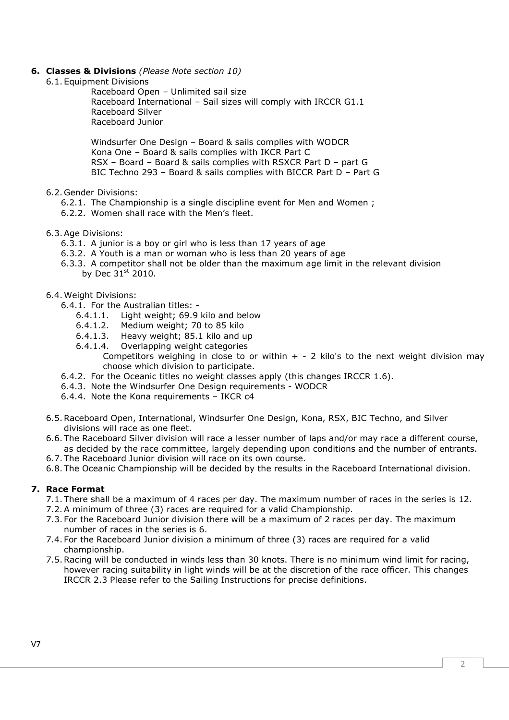- **6. Classes & Divisions** *(Please Note section 10)*
	- 6.1. Equipment Divisions

Raceboard Open – Unlimited sail size Raceboard International – Sail sizes will comply with IRCCR G1.1 Raceboard Silver Raceboard Junior

Windsurfer One Design – Board & sails complies with WODCR Kona One – Board & sails complies with IKCR Part C RSX – Board – Board & sails complies with RSXCR Part D – part G BIC Techno 293 – Board & sails complies with BICCR Part D – Part G

- 6.2. Gender Divisions:
	- 6.2.1. The Championship is a single discipline event for Men and Women ;
	- 6.2.2. Women shall race with the Men's fleet.
- 6.3.Age Divisions:
	- 6.3.1. A junior is a boy or girl who is less than 17 years of age
	- 6.3.2. A Youth is a man or woman who is less than 20 years of age
	- 6.3.3. A competitor shall not be older than the maximum age limit in the relevant division by Dec  $31<sup>st</sup>$  2010.
- 6.4. Weight Divisions:
	- 6.4.1. For the Australian titles:
		- 6.4.1.1. Light weight; 69.9 kilo and below
		- 6.4.1.2. Medium weight; 70 to 85 kilo
		- 6.4.1.3. Heavy weight; 85.1 kilo and up
		- 6.4.1.4. Overlapping weight categories
			- Competitors weighing in close to or within  $+$  2 kilo's to the next weight division may choose which division to participate.
	- 6.4.2. For the Oceanic titles no weight classes apply (this changes IRCCR 1.6).
	- 6.4.3. Note the Windsurfer One Design requirements WODCR
	- 6.4.4. Note the Kona requirements IKCR c4
- 6.5.Raceboard Open, International, Windsurfer One Design, Kona, RSX, BIC Techno, and Silver divisions will race as one fleet.
- 6.6. The Raceboard Silver division will race a lesser number of laps and/or may race a different course, as decided by the race committee, largely depending upon conditions and the number of entrants.
- 6.7. The Raceboard Junior division will race on its own course.
- 6.8. The Oceanic Championship will be decided by the results in the Raceboard International division.

#### **7. Race Format**

- 7.1. There shall be a maximum of 4 races per day. The maximum number of races in the series is 12.
- 7.2.A minimum of three (3) races are required for a valid Championship.
- 7.3. For the Raceboard Junior division there will be a maximum of 2 races per day. The maximum number of races in the series is 6.
- 7.4. For the Raceboard Junior division a minimum of three (3) races are required for a valid championship.
- 7.5.Racing will be conducted in winds less than 30 knots. There is no minimum wind limit for racing, however racing suitability in light winds will be at the discretion of the race officer. This changes IRCCR 2.3 Please refer to the Sailing Instructions for precise definitions.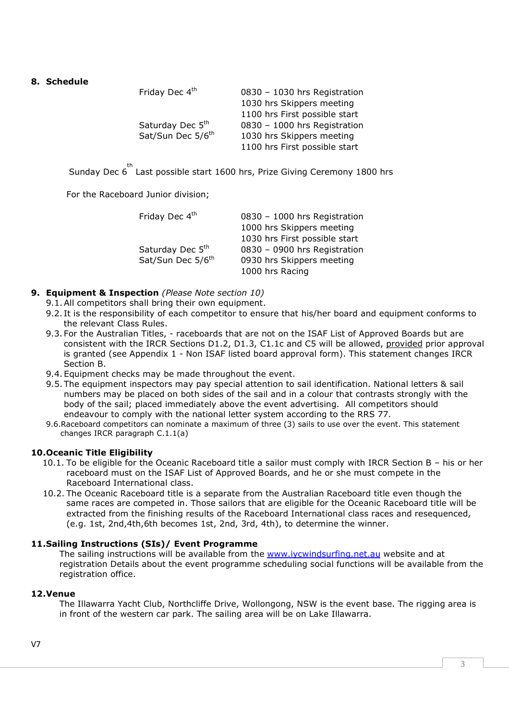### **8. Schedule**

| 0830 - 1030 hrs Registration  |
|-------------------------------|
| 1030 hrs Skippers meeting     |
| 1100 hrs First possible start |
| 0830 - 1000 hrs Registration  |
| 1030 hrs Skippers meeting     |
| 1100 hrs First possible start |
|                               |

Sunday Dec 6<sup>th</sup> Last possible start 1600 hrs, Prize Giving Ceremony 1800 hrs

For the Raceboard Junior division;

| 0830 - 1000 hrs Registration  |
|-------------------------------|
| 1000 hrs Skippers meeting     |
| 1030 hrs First possible start |
| 0830 - 0900 hrs Registration  |
| 0930 hrs Skippers meeting     |
| 1000 hrs Racing               |
|                               |

- **9. Equipment & Inspection** *(Please Note section 10)*
	- 9.1.All competitors shall bring their own equipment.
	- 9.2. It is the responsibility of each competitor to ensure that his/her board and equipment conforms to the relevant Class Rules.
	- 9.3. For the Australian Titles, raceboards that are not on the ISAF List of Approved Boards but are consistent with the IRCR Sections D1.2, D1.3, C1.1c and C5 will be allowed, provided prior approval is granted (see Appendix 1 - Non ISAF listed board approval form). This statement changes IRCR Section B.
	- 9.4. Equipment checks may be made throughout the event.
	- 9.5. The equipment inspectors may pay special attention to sail identification. National letters & sail numbers may be placed on both sides of the sail and in a colour that contrasts strongly with the body of the sail; placed immediately above the event advertising. All competitors should endeavour to comply with the national letter system according to the RRS 77.
	- 9.6.Raceboard competitors can nominate a maximum of three (3) sails to use over the event. This statement changes IRCR paragraph C.1.1(a)

# **10.Oceanic Title Eligibility**

- 10.1. To be eligible for the Oceanic Raceboard title a sailor must comply with IRCR Section B his or her raceboard must on the ISAF List of Approved Boards, and he or she must compete in the Raceboard International class.
- 10.2. The Oceanic Raceboard title is a separate from the Australian Raceboard title even though the same races are competed in. Those sailors that are eligible for the Oceanic Raceboard title will be extracted from the finishing results of the Raceboard International class races and resequenced, (e.g. 1st, 2nd,4th,6th becomes 1st, 2nd, 3rd, 4th), to determine the winner.

# **11.Sailing Instructions (SIs)/ Event Programme**

The sailing instructions will be available from the www.iycwindsurfing.net.au website and at registration Details about the event programme scheduling social functions will be available from the registration office.

#### **12.Venue**

The Illawarra Yacht Club, Northcliffe Drive, Wollongong, NSW is the event base. The rigging area is in front of the western car park. The sailing area will be on Lake Illawarra.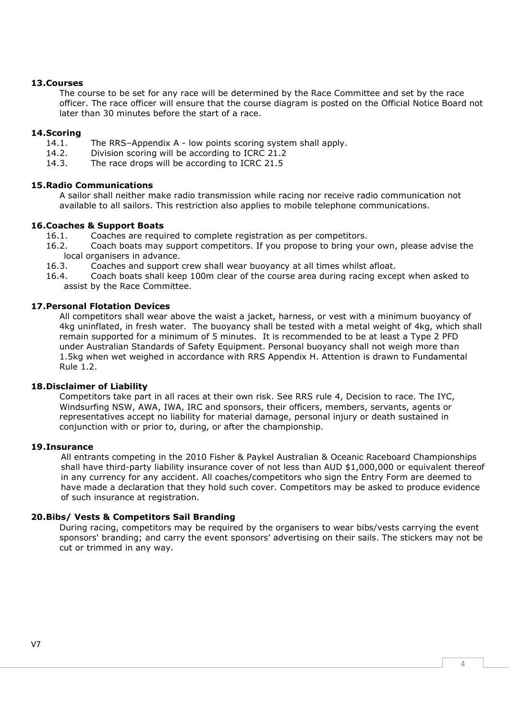#### **13.Courses**

The course to be set for any race will be determined by the Race Committee and set by the race officer. The race officer will ensure that the course diagram is posted on the Official Notice Board not later than 30 minutes before the start of a race.

#### **14.Scoring**

- 14.1. The RRS–Appendix A low points scoring system shall apply.
- 14.2. Division scoring will be according to ICRC 21.2
- 14.3. The race drops will be according to ICRC 21.5

### **15.Radio Communications**

A sailor shall neither make radio transmission while racing nor receive radio communication not available to all sailors. This restriction also applies to mobile telephone communications.

#### **16.Coaches & Support Boats**

- 16.1. Coaches are required to complete registration as per competitors.
- 16.2. Coach boats may support competitors. If you propose to bring your own, please advise the local organisers in advance.
- 16.3. Coaches and support crew shall wear buoyancy at all times whilst afloat.
- 16.4. Coach boats shall keep 100m clear of the course area during racing except when asked to assist by the Race Committee.

### **17.Personal Flotation Devices**

All competitors shall wear above the waist a jacket, harness, or vest with a minimum buoyancy of 4kg uninflated, in fresh water. The buoyancy shall be tested with a metal weight of 4kg, which shall remain supported for a minimum of 5 minutes. It is recommended to be at least a Type 2 PFD under Australian Standards of Safety Equipment. Personal buoyancy shall not weigh more than 1.5kg when wet weighed in accordance with RRS Appendix H. Attention is drawn to Fundamental Rule 1.2.

#### **18.Disclaimer of Liability**

Competitors take part in all races at their own risk. See RRS rule 4, Decision to race. The IYC, Windsurfing NSW, AWA, IWA, IRC and sponsors, their officers, members, servants, agents or representatives accept no liability for material damage, personal injury or death sustained in conjunction with or prior to, during, or after the championship.

#### **19.Insurance**

All entrants competing in the 2010 Fisher & Paykel Australian & Oceanic Raceboard Championships shall have third-party liability insurance cover of not less than AUD \$1,000,000 or equivalent thereof in any currency for any accident. All coaches/competitors who sign the Entry Form are deemed to have made a declaration that they hold such cover. Competitors may be asked to produce evidence of such insurance at registration.

# **20.Bibs/ Vests & Competitors Sail Branding**

During racing, competitors may be required by the organisers to wear bibs/vests carrying the event sponsors' branding; and carry the event sponsors' advertising on their sails. The stickers may not be cut or trimmed in any way.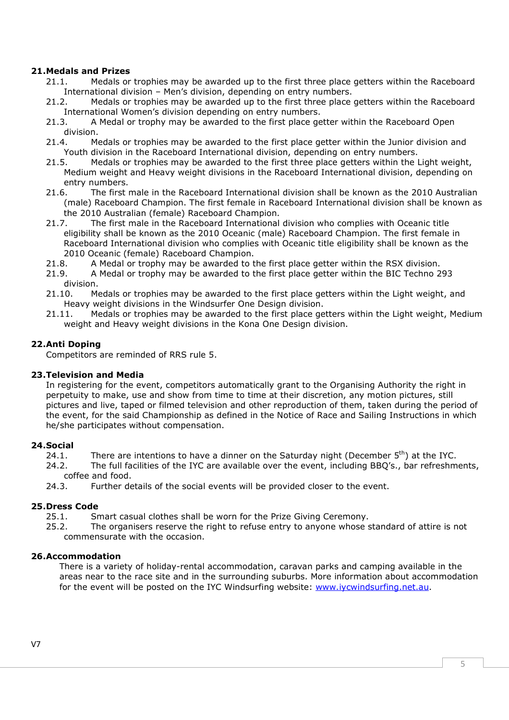### **21.Medals and Prizes**

- 21.1. Medals or trophies may be awarded up to the first three place getters within the Raceboard International division – Men's division, depending on entry numbers.
- 21.2. Medals or trophies may be awarded up to the first three place getters within the Raceboard International Women's division depending on entry numbers.
- 21.3. A Medal or trophy may be awarded to the first place getter within the Raceboard Open division.
- 21.4. Medals or trophies may be awarded to the first place getter within the Junior division and Youth division in the Raceboard International division, depending on entry numbers.
- 21.5. Medals or trophies may be awarded to the first three place getters within the Light weight, Medium weight and Heavy weight divisions in the Raceboard International division, depending on entry numbers.<br>21.6. The first
- 21.6. The first male in the Raceboard International division shall be known as the 2010 Australian (male) Raceboard Champion. The first female in Raceboard International division shall be known as the 2010 Australian (female) Raceboard Champion.
- 21.7. The first male in the Raceboard International division who complies with Oceanic title eligibility shall be known as the 2010 Oceanic (male) Raceboard Champion. The first female in Raceboard International division who complies with Oceanic title eligibility shall be known as the 2010 Oceanic (female) Raceboard Champion.
- 21.8. A Medal or trophy may be awarded to the first place getter within the RSX division.
- 21.9. A Medal or trophy may be awarded to the first place getter within the BIC Techno 293 division.
- 21.10. Medals or trophies may be awarded to the first place getters within the Light weight, and Heavy weight divisions in the Windsurfer One Design division.
- 21.11. Medals or trophies may be awarded to the first place getters within the Light weight, Medium weight and Heavy weight divisions in the Kona One Design division.

### **22.Anti Doping**

Competitors are reminded of RRS rule 5.

#### **23.Television and Media**

In registering for the event, competitors automatically grant to the Organising Authority the right in perpetuity to make, use and show from time to time at their discretion, any motion pictures, still pictures and live, taped or filmed television and other reproduction of them, taken during the period of the event, for the said Championship as defined in the Notice of Race and Sailing Instructions in which he/she participates without compensation.

#### **24.Social**

- 24.1. There are intentions to have a dinner on the Saturday night (December  $5<sup>th</sup>$ ) at the IYC.
- 24.2. The full facilities of the IYC are available over the event, including BBQ's., bar refreshments, coffee and food.

24.3. Further details of the social events will be provided closer to the event.

#### **25.Dress Code**

25.1. Smart casual clothes shall be worn for the Prize Giving Ceremony.

25.2. The organisers reserve the right to refuse entry to anyone whose standard of attire is not commensurate with the occasion.

#### **26.Accommodation**

There is a variety of holiday-rental accommodation, caravan parks and camping available in the areas near to the race site and in the surrounding suburbs. More information about accommodation for the event will be posted on the IYC Windsurfing website: www.iycwindsurfing.net.au.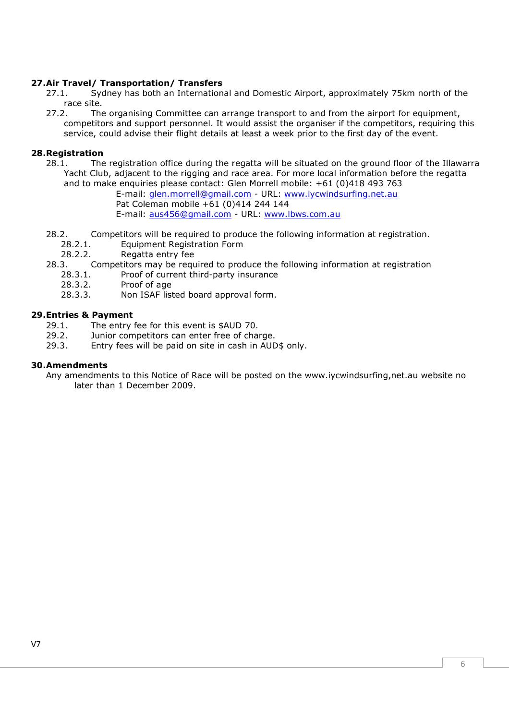# **27.Air Travel/ Transportation/ Transfers**

27.1. Sydney has both an International and Domestic Airport, approximately 75km north of the race site.<br>The 77.2.

The organising Committee can arrange transport to and from the airport for equipment, competitors and support personnel. It would assist the organiser if the competitors, requiring this service, could advise their flight details at least a week prior to the first day of the event.

#### **28.Registration**

28.1. The registration office during the regatta will be situated on the ground floor of the Illawarra Yacht Club, adjacent to the rigging and race area. For more local information before the regatta and to make enquiries please contact: Glen Morrell mobile: +61 (0)418 493 763

E-mail: glen.morrell@gmail.com - URL: www.iycwindsurfing.net.au Pat Coleman mobile +61 (0)414 244 144 E-mail: aus456@gmail.com - URL: www.lbws.com.au

- 28.2. Competitors will be required to produce the following information at registration.<br>28.2.1. Equipment Registration Form
	- Equipment Registration Form
	- 28.2.2. Regatta entry fee
- 28.3. Competitors may be required to produce the following information at registration
	- 28.3.1. Proof of current third-party insurance
	- 28.3.2. Proof of age
	- 28.3.3. Non ISAF listed board approval form.

# **29.Entries & Payment**<br>29.1. The entry

- The entry fee for this event is \$AUD 70.
- 29.2. Junior competitors can enter free of charge.
- 29.3. Entry fees will be paid on site in cash in AUD\$ only.

#### **30.Amendments**

Any amendments to this Notice of Race will be posted on the www.iycwindsurfing,net.au website no later than 1 December 2009.